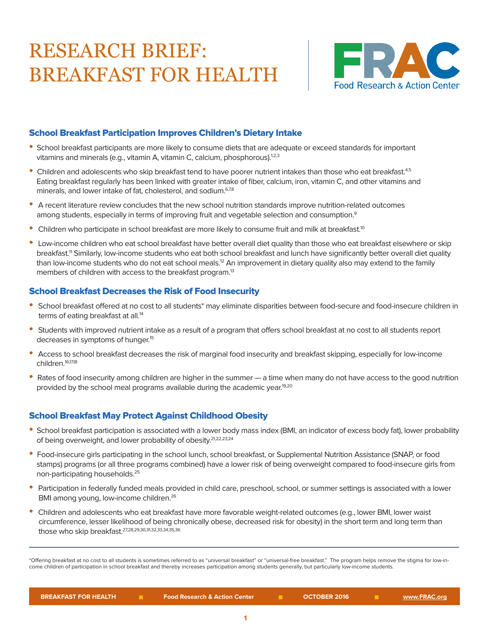# RESEARCH BRIEF: BREAKFAST FOR HEALTH



## School Breakfast Participation Improves Children's Dietary Intake

- School breakfast participants are more likely to consume diets that are adequate or exceed standards for important vitamins and minerals (e.g., vitamin A, vitamin C, calcium, phosphorous).<sup>1,2,3</sup>
- Children and adolescents who skip breakfast tend to have poorer nutrient intakes than those who eat breakfast.<sup>4,5</sup> Eating breakfast regularly has been linked with greater intake of fiber, calcium, iron, vitamin C, and other vitamins and minerals, and lower intake of fat, cholesterol, and sodium.<sup>6,7,8</sup>
- A recent literature review concludes that the new school nutrition standards improve nutrition-related outcomes among students, especially in terms of improving fruit and vegetable selection and consumption.<sup>9</sup>
- Children who participate in school breakfast are more likely to consume fruit and milk at breakfast.<sup>10</sup>
- Low-income children who eat school breakfast have better overall diet quality than those who eat breakfast elsewhere or skip breakfast.<sup>11</sup> Similarly, low-income students who eat both school breakfast and lunch have significantly better overall diet quality than low-income students who do not eat school meals.<sup>12</sup> An improvement in dietary quality also may extend to the family members of children with access to the breakfast program.<sup>13</sup>

#### School Breakfast Decreases the Risk of Food Insecurity

- School breakfast offered at no cost to all students\* may eliminate disparities between food-secure and food-insecure children in terms of eating breakfast at all.<sup>14</sup>
- Students with improved nutrient intake as a result of a program that offers school breakfast at no cost to all students report decreases in symptoms of hunger.<sup>15</sup>
- Access to school breakfast decreases the risk of marginal food insecurity and breakfast skipping, especially for low-income children.16,17,18
- Rates of food insecurity among children are higher in the summer a time when many do not have access to the good nutrition provided by the school meal programs available during the academic year.<sup>19,20</sup>

### School Breakfast May Protect Against Childhood Obesity

- School breakfast participation is associated with a lower body mass index (BMI, an indicator of excess body fat), lower probability of being overweight, and lower probability of obesity.<sup>21,22,23,24</sup>
- Food-insecure girls participating in the school lunch, school breakfast, or Supplemental Nutrition Assistance (SNAP, or food stamps) programs (or all three programs combined) have a lower risk of being overweight compared to food-insecure girls from non-participating households.25
- Participation in federally funded meals provided in child care, preschool, school, or summer settings is associated with a lower BMI among young, low-income children.<sup>26</sup>
- Children and adolescents who eat breakfast have more favorable weight-related outcomes (e.g., lower BMI, lower waist circumference, lesser likelihood of being chronically obese, decreased risk for obesity) in the short term and long term than those who skip breakfast.27,28,29,30,31,32,33,34,35,36

\*Offering breakfast at no cost to all students is sometimes referred to as "universal breakfast" or "universal-free breakfast." The program helps remove the stigma for low-income children of participation in school breakfast and thereby increases participation among students generally, but particularly low-income students.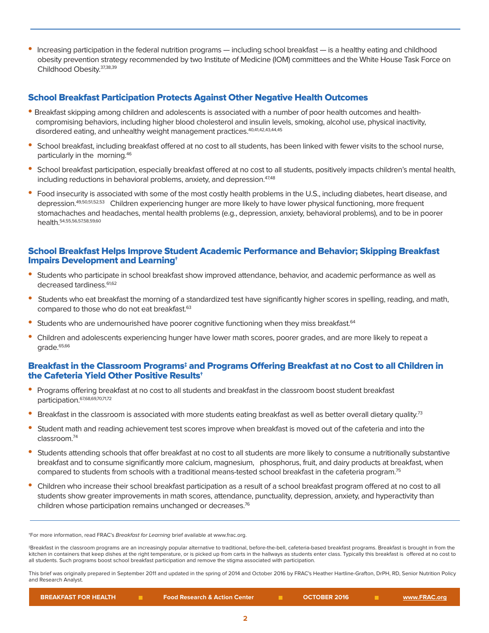• Increasing participation in the federal nutrition programs — including school breakfast — is a healthy eating and childhood obesity prevention strategy recommended by two Institute of Medicine (IOM) committees and the White House Task Force on Childhood Obesity.37,38,39

#### School Breakfast Participation Protects Against Other Negative Health Outcomes

- Breakfast skipping among children and adolescents is associated with a number of poor health outcomes and health compromising behaviors, including higher blood cholesterol and insulin levels, smoking, alcohol use, physical inactivity, disordered eating, and unhealthy weight management practices.<sup>40,41,42,43,44,45</sup>
- School breakfast, including breakfast offered at no cost to all students, has been linked with fewer visits to the school nurse, particularly in the morning.46
- School breakfast participation, especially breakfast offered at no cost to all students, positively impacts children's mental health, including reductions in behavioral problems, anxiety, and depression.<sup>47,48</sup>
- Food insecurity is associated with some of the most costly health problems in the U.S., including diabetes, heart disease, and depression.49,50,51,52,53 Children experiencing hunger are more likely to have lower physical functioning, more frequent stomachaches and headaches, mental health problems (e.g., depression, anxiety, behavioral problems), and to be in poorer health.54,55,56,57,58,59,60

#### School Breakfast Helps Improve Student Academic Performance and Behavior; Skipping Breakfast Impairs Development and Learning†

- Students who participate in school breakfast show improved attendance, behavior, and academic performance as well as decreased tardiness.<sup>61,62</sup>
- Students who eat breakfast the morning of a standardized test have significantly higher scores in spelling, reading, and math, compared to those who do not eat breakfast.<sup>63</sup>
- Students who are undernourished have poorer cognitive functioning when they miss breakfast.<sup>64</sup>
- Children and adolescents experiencing hunger have lower math scores, poorer grades, and are more likely to repeat a grade.<sup>65,66</sup>

#### Breakfast in the Classroom Programs<sup>‡</sup> and Programs Offering Breakfast at no Cost to all Children in the Cafeteria Yield Other Positive Results†

- Programs offering breakfast at no cost to all students and breakfast in the classroom boost student breakfast participation.67,68,69,70,71,72
- Breakfast in the classroom is associated with more students eating breakfast as well as better overall dietary quality.<sup>73</sup>
- Student math and reading achievement test scores improve when breakfast is moved out of the cafeteria and into the classroom.74
- Students attending schools that offer breakfast at no cost to all students are more likely to consume a nutritionally substantive breakfast and to consume significantly more calcium, magnesium, phosphorus, fruit, and dairy products at breakfast, when compared to students from schools with a traditional means-tested school breakfast in the cafeteria program.<sup>75</sup>
- Children who increase their school breakfast participation as a result of a school breakfast program offered at no cost to all students show greater improvements in math scores, attendance, punctuality, depression, anxiety, and hyperactivity than children whose participation remains unchanged or decreases.<sup>76</sup>

<sup>+</sup>For more information, read FRAC's Breakfast for Learning brief available at www.frac.org.

‡Breakfast in the classroom programs are an increasingly popular alternative to traditional, before-the-bell, cafeteria-based breakfast programs. Breakfast is brought in from the kitchen in containers that keep dishes at the right temperature, or is picked up from carts in the hallways as students enter class. Typically this breakfast is offered at no cost to all students. Such programs boost school breakfast participation and remove the stigma associated with participation.

This brief was originally prepared in September 2011 and updated in the spring of 2014 and October 2016 by FRAC's Heather Hartline-Grafton, DrPH, RD, Senior Nutrition Policy and Research Analyst.

|  | <b>BREAKFAST FOR HEALTH</b> |  | <b>Food Research &amp; Action Center</b> |  | <b>OCTOBER 2016</b> |  | www.FRAC.org |
|--|-----------------------------|--|------------------------------------------|--|---------------------|--|--------------|
|--|-----------------------------|--|------------------------------------------|--|---------------------|--|--------------|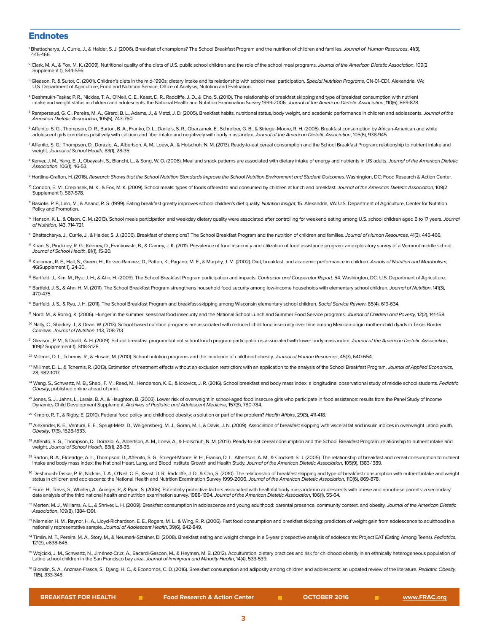#### **Endnotes**

- Bhattacharya, J., Currie, J., & Haider, S. J. (2006). Breakfast of champions? The School Breakfast Program and the nutrition of children and families. Journal of Human Resources, 41(3), 445-466.
- <sup>2</sup> Clark, M. A., & Fox, M. K. (2009). Nutritional quality of the diets of U.S. public school children and the role of the school meal programs. Journal of the American Dietetic Association, 109(2 Supplement 1), S44-S56.
- <sup>3</sup> Gleason, P., & Suitor, C. (2001). Children's diets in the mid-1990s: dietary intake and its relationship with school meal participation. Special Nutrition Programs, CN-01-CD1. Alexandria, VA: U.S. Department of Agriculture, Food and Nutrition Service, Office of Analysis, Nutrition and Evaluation.
- 4 Deshmukh-Taskar, P. R., Nicklas, T. A., O'Neil, C. E., Keast, D. R., Radcliffe, J. D., & Cho, S. (2010). The relationship of breakfast skipping and type of breakfast consumption with nutrient intake and weight status in children and adolescents: the National Health and Nutrition Examination Survey 1999-2006. Journal of the American Dietetic Association, 110(6), 869-878.
- <sup>5</sup> Rampersaud, G. C., Pereira, M. A., Girard, B. L., Adams, J., & Metzl, J. D. (2005). Breakfast habits, nutritional status, body weight, and academic performance in children and adolescents. *Journal of the* American Dietetic Association, 105(5), 743-760.
- <sup>6</sup> Affenito, S. G., Thompson, D. R., Barton, B. A., Franko, D. L., Daniels, S. R., Obarzanek, E., Schreiber, G. B., & Striegel-Moore, R. H. (2005). Breakfast consumption by African-American and white adolescent girls correlates positively with calcium and fiber intake and negatively with body mass index. Journal of the American Dietetic Association, 105(6), 938-945.
- 7 Affenito, S. G., Thompson, D., Dorazio, A., Albertson, A. M., Loew, A., & Holschuh, N. M. (2013). Ready-to-eat cereal consumption and the School Breakfast Program: relationship to nutrient intake and weight. Journal of School Health, 83(1), 28-35.
- <sup>8</sup> Kerver, J. M., Yang, E. J., Obayashi, S., Bianchi, L., & Song, W. O. (2006). Meal and snack patterns are associated with dietary intake of energy and nutrients in US adults. *Journal of the American Dietetic*<br>Associ*at*
- <sup>9</sup> Hartline-Grafton, H. (2016). Research Shows that the School Nutrition Standards Improve the School Nutrition Environment and Student Outcomes. Washington, DC: Food Research & Action Center.
- <sup>10</sup> Condon, E. M., Crepinsek, M. K., & Fox, M. K. (2009). School meals: types of foods offered to and consumed by children at lunch and breakfast. Journal of the American Dietetic Association, 109(2 Supplement 1), S67-S78.
- <sup>11</sup> Basiotis, P. P., Lino, M., & Anand, R. S. (1999). Eating breakfast greatly improves school children's diet quality. Nutrition Insight, 15. Alexandria, VA: U.S. Department of Agriculture, Center for Nutrition Policy and Promotion.
- <sup>12</sup> Hanson, K. L., & Olson, C. M. (2013). School meals participation and weekday dietary quality were associated after controlling for weekend eating among U.S. school children aged 6 to 17 years. Journal of Nutrition, 143, 714-721.
- <sup>13</sup> Bhattacharya, J., Currie, J., & Haider, S. J. (2006). Breakfast of champions? The School Breakfast Program and the nutrition of children and families. Journal of Human Resources, 41(3), 445-466.
- <sup>14</sup> Khan, S., Pinckney, R. G., Keeney, D., Frankowski, B., & Carney, J. K. (2011). Prevalence of food insecurity and utilization of food assistance program: an exploratory survey of a Vermont middle school.<br>Jo*urnal of Sc*
- <sup>15</sup> Kleinman, R. E., Hall, S., Green, H., Korzec-Ramirez, D., Patton, K., Pagano, M. E., & Murphy, J. M. (2002). Diet, breakfast, and academic performance in children. Annals of Nutrition and Metabolism, 46(Supplement 1), 24-30.
- <sup>16</sup> Bartfeld, J., Kim, M., Ryu, J. H., & Ahn, H. (2009). The School Breakfast Program participation and impacts. Contractor and Cooperator Report, 54. Washington, DC: U.S. Department of Agriculture.
- <sup>T</sup> Bartfeld, J. S., & Ahn, H. M. (2011). The School Breakfast Program strengthens household food security among low-income households with elementary school children. Journal of Nutrition, 141(3), 470-475.
- <sup>18</sup> Bartfeld, J. S., & Ryu, J. H. (2011). The School Breakfast Program and breakfast-skipping among Wisconsin elementary school children. Social Service Review, 85(4), 619-634.
- <sup>19</sup> Nord, M., & Romig, K. (2006). Hunger in the summer: seasonal food insecurity and the National School Lunch and Summer Food Service programs. Journal of Children and Poverty, 12(2), 141-158.
- <sup>20</sup> Nalty, C., Sharkey, J., & Dean, W. (2013). School-based nutrition programs are associated with reduced child food insecurity over time among Mexican-origin mother-child dyads in Texas Border Colonias. Journal of Nutrition, 143, 708-713.
- <sup>21</sup> Gleason, P. M., & Dodd, A. H. (2009). School breakfast program but not school lunch program participation is associated with lower body mass index. Journal of the American Dietetic Association, 109(2 Supplement 1), S118-S128.
- <sup>22</sup> Millimet, D. L., Tchernis, R., & Husain, M. (2010). School nutrition programs and the incidence of childhood obesity. Journal of Human Resources, 45(3), 640-654.
- <sup>23</sup> Millimet, D. L., & Tchernis, R. (2013). Estimation of treatment effects without an exclusion restriction: with an application to the analysis of the School Breakfast Program. Journal of Applied Economics, 28, 982-1017.
- <sup>24</sup> Wang, S., Schwartz, M. B., Shebi, F. M., Read, M., Henderson, K. E., & Ickovics, J. R. (2016). School breakfast and body mass index: a longitudinal observational study of middle school students. Pediatric Obesity, published online ahead of print.
- <sup>25</sup> Jones, S. J., Jahns, L., Laraia, B. A., & Haughton, B. (2003). Lower risk of overweight in school-aged food insecure girls who participate in food assistance: results from the Panel Study of Income Dynamics Child Development Supplement. Archives of Pediatric and Adolescent Medicine, 157(8), 780-784.
- <sup>26</sup> Kimbro, R. T., & Rigby, E. (2010). Federal food policy and childhood obesity: a solution or part of the problem? Health Affairs, 29(3), 411-418.
- 27 Alexander, K. E., Ventura, E. E., Spruijt-Metz, D., Weigensberg, M. J., Goran, M. I., & Davis, J. N. (2009). Association of breakfast skipping with visceral fat and insulin indices in overweight Latino youth. Obesity, 17(8), 1528-1533.
- 28 Affenito, S. G., Thompson, D., Dorazio, A., Albertson, A. M., Loew, A., & Holschuh, N. M. (2013). Ready-to-eat cereal consumption and the School Breakfast Program: relationship to nutrient intake and weight. Journal of School Health, 83(1), 28-35
- <sup>29</sup> Barton, B. A., Elderidge, A. L., Thompson, D., Affenito, S. G., Striegel-Moore, R. H., Franko, D. L., Albertson, A. M., & Crockett, S. J. (2005). The relationship of breakfast and cereal consumption to nutrient intake and body mass index: the National Heart, Lung, and Blood Institute Growth and Health Study. Journal of the American Dietetic Association, 105(9), 1383-1389.
- <sup>30</sup> Deshmukh-Taskar, P. R., Nicklas, T. A., O'Neil, C. E., Keast, D. R., Radcliffe, J. D., & Cho, S. (2010). The relationship of breakfast skipping and type of breakfast consumption with nutrient intake and weight<br>status
- <sup>31</sup> Fiore, H., Travis, S., Whalen, A., Auinger, P., & Ryan, S. (2006). Potentially protective factors associated with healthful body mass index in adolescents with obese and nonobese parents: a secondary data analysis of the third national health and nutrition examination survey, 1988-1994. Journal of the American Dietetic Association, 106(1), 55-64.
- 32 Merten, M. J., Williams, A. L., & Shriver, L. H. (2009). Breakfast consumption in adolescence and young adulthood: parental presence, community context, and obesity. Journal of the American Dietetic Association, 109(8), 1384-1391.
- 33 Niemeier, H. M., Raynor, H. A., Lloyd-Richardson, E. E., Rogers, M. L., & Wing, R. R. (2006). Fast food consumption and breakfast skipping: predictors of weight gain from adolescence to adulthood in a nationally representative sample. Journal of Adolescent Health, 39(6), 842-849.
- <sup>34</sup> Timlin, M. T., Pereira, M. A., Story, M., & Neumark-Sztainer, D. (2008). Breakfast eating and weight change in a 5-year prospective analysis of adolescents: Project EAT (Eating Among Teens). Pediatrics, 121(3), e638-645.
- <sup>35</sup> Wojcicki, J. M., Schwartz, N., Jiménez-Cruz, A., Bacardi-Gascon, M., & Heyman, M. B. (2012). Acculturation, dietary practices and risk for childhood obesity in an ethnically heterogeneous population of Latino school children in the San Francisco bay area. Journal of Immigrant and Minority Health, 14(4), 533-539.
- <sup>36</sup> Blondin, S. A., Anzman-Frasca, S., Djang, H. C., & Economos, C. D. (2016). Breakfast consumption and adiposity among children and adolescents: an updated review of the literature. Pediatric Obesity, 11(5), 333-348.

|  | <b>BREAKFAST FOR HEALTH</b> |  |  |
|--|-----------------------------|--|--|